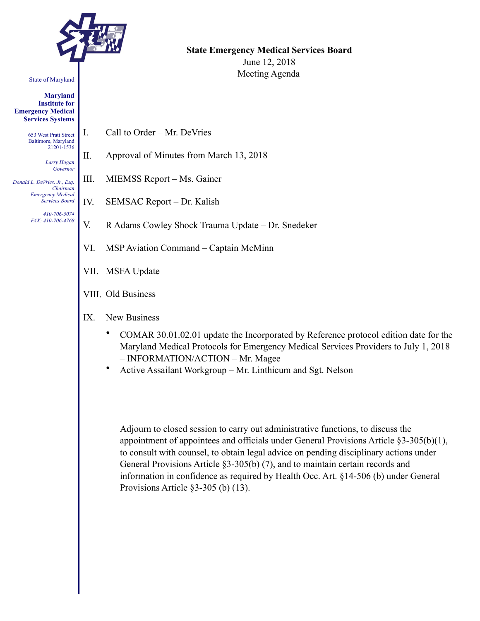

#### State of Maryland

**Maryland Institute for Emergency Medical Services Systems** 

> 653 West Pratt Street Baltimore, Maryland 21201-1536

> > *Larry Hogan Governor*

*Donald L. DeVries, Jr., Esq. Chairman Emergency Medical Services Board* 

> *410-706-5074 FAX: 410-706-4768*

**State Emergency Medical Services Board**  June 12, 2018 Meeting Agenda

- I. Call to Order Mr. DeVries
- II. Approval of Minutes from March 13, 2018
- III. MIEMSS Report Ms. Gainer
- IV. SEMSAC Report Dr. Kalish
- V. R Adams Cowley Shock Trauma Update Dr. Snedeker
- VI. MSP Aviation Command Captain McMinn
- VII. MSFA Update
- VIII. Old Business
- IX. New Business
	- COMAR 30.01.02.01 update the Incorporated by Reference protocol edition date for the Maryland Medical Protocols for Emergency Medical Services Providers to July 1, 2018 – INFORMATION/ACTION – Mr. Magee
	- Active Assailant Workgroup Mr. Linthicum and Sgt. Nelson

Adjourn to closed session to carry out administrative functions, to discuss the appointment of appointees and officials under General Provisions Article §3-305(b)(1), to consult with counsel, to obtain legal advice on pending disciplinary actions under General Provisions Article §3-305(b) (7), and to maintain certain records and information in confidence as required by Health Occ. Art. §14-506 (b) under General Provisions Article §3-305 (b) (13).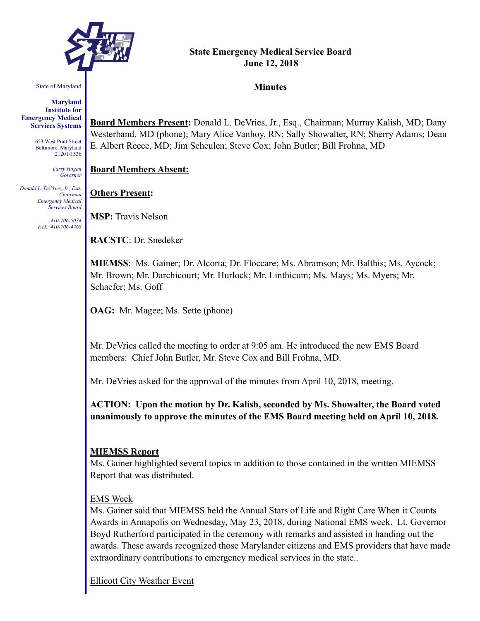

#### State of Maryland

**Maryland Institute for Emergency Medical Services Systems** 

> 653 West Pratt Street Baltimore, Maryland 21201-1536

> > *Larry Hogan Governor*

*Donald L. DeVries, Jr., Esq. Chairman Emergency Medical Services Board* 

> *410-706-5074 FAX: 410-706-4768*

#### **State Emergency Medical Service Board June 12, 2018**

#### **Minutes**

**Board Members Present:** Donald L. DeVries, Jr., Esq., Chairman; Murray Kalish, MD; Dany Westerband, MD (phone); Mary Alice Vanhoy, RN; Sally Showalter, RN; Sherry Adams; Dean E. Albert Reece, MD; Jim Scheulen; Steve Cox; John Butler; Bill Frohna, MD

**Board Members Absent:**

**Others Present:**

**MSP:** Travis Nelson

**RACSTC**: Dr. Snedeker

**MIEMSS**: Ms. Gainer; Dr. Alcorta; Dr. Floccare; Ms. Abramson; Mr. Balthis; Ms. Aycock; Mr. Brown; Mr. Darchicourt; Mr. Hurlock; Mr. Linthicum; Ms. Mays; Ms. Myers; Mr. Schaefer; Ms. Goff

**OAG:** Mr. Magee; Ms. Sette (phone)

Mr. DeVries called the meeting to order at 9:05 am. He introduced the new EMS Board members: Chief John Butler, Mr. Steve Cox and Bill Frohna, MD.

Mr. DeVries asked for the approval of the minutes from April 10, 2018, meeting.

**ACTION: Upon the motion by Dr. Kalish, seconded by Ms. Showalter, the Board voted unanimously to approve the minutes of the EMS Board meeting held on April 10, 2018.** 

#### **MIEMSS Report**

Ms. Gainer highlighted several topics in addition to those contained in the written MIEMSS Report that was distributed.

#### EMS Week

Ms. Gainer said that MIEMSS held the Annual Stars of Life and Right Care When it Counts Awards in Annapolis on Wednesday, May 23, 2018, during National EMS week. Lt. Governor Boyd Rutherford participated in the ceremony with remarks and assisted in handing out the awards. These awards recognized those Marylander citizens and EMS providers that have made extraordinary contributions to emergency medical services in the state..

Ellicott City Weather Event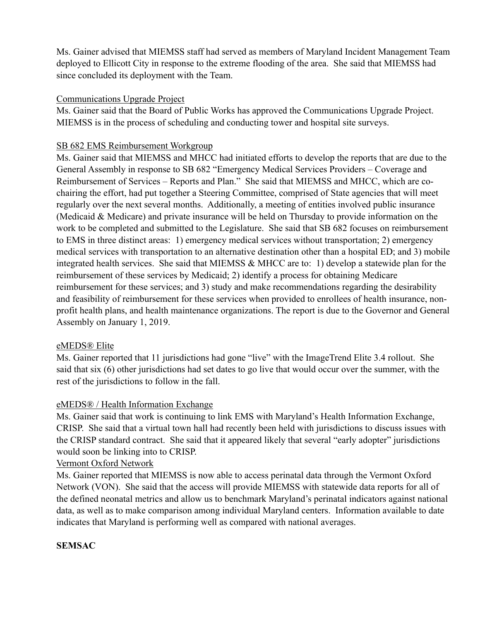Ms. Gainer advised that MIEMSS staff had served as members of Maryland Incident Management Team deployed to Ellicott City in response to the extreme flooding of the area. She said that MIEMSS had since concluded its deployment with the Team.

# Communications Upgrade Project

Ms. Gainer said that the Board of Public Works has approved the Communications Upgrade Project. MIEMSS is in the process of scheduling and conducting tower and hospital site surveys.

# SB 682 EMS Reimbursement Workgroup

Ms. Gainer said that MIEMSS and MHCC had initiated efforts to develop the reports that are due to the General Assembly in response to SB 682 "Emergency Medical Services Providers – Coverage and Reimbursement of Services – Reports and Plan." She said that MIEMSS and MHCC, which are cochairing the effort, had put together a Steering Committee, comprised of State agencies that will meet regularly over the next several months. Additionally, a meeting of entities involved public insurance (Medicaid & Medicare) and private insurance will be held on Thursday to provide information on the work to be completed and submitted to the Legislature. She said that SB 682 focuses on reimbursement to EMS in three distinct areas: 1) emergency medical services without transportation; 2) emergency medical services with transportation to an alternative destination other than a hospital ED; and 3) mobile integrated health services. She said that MIEMSS & MHCC are to: 1) develop a statewide plan for the reimbursement of these services by Medicaid; 2) identify a process for obtaining Medicare reimbursement for these services; and 3) study and make recommendations regarding the desirability and feasibility of reimbursement for these services when provided to enrollees of health insurance, nonprofit health plans, and health maintenance organizations. The report is due to the Governor and General Assembly on January 1, 2019.

## eMEDS® Elite

Ms. Gainer reported that 11 jurisdictions had gone "live" with the ImageTrend Elite 3.4 rollout. She said that six (6) other jurisdictions had set dates to go live that would occur over the summer, with the rest of the jurisdictions to follow in the fall.

# eMEDS® / Health Information Exchange

Ms. Gainer said that work is continuing to link EMS with Maryland's Health Information Exchange, CRISP. She said that a virtual town hall had recently been held with jurisdictions to discuss issues with the CRISP standard contract. She said that it appeared likely that several "early adopter" jurisdictions would soon be linking into to CRISP.

## Vermont Oxford Network

Ms. Gainer reported that MIEMSS is now able to access perinatal data through the Vermont Oxford Network (VON). She said that the access will provide MIEMSS with statewide data reports for all of the defined neonatal metrics and allow us to benchmark Maryland's perinatal indicators against national data, as well as to make comparison among individual Maryland centers. Information available to date indicates that Maryland is performing well as compared with national averages.

# **SEMSAC**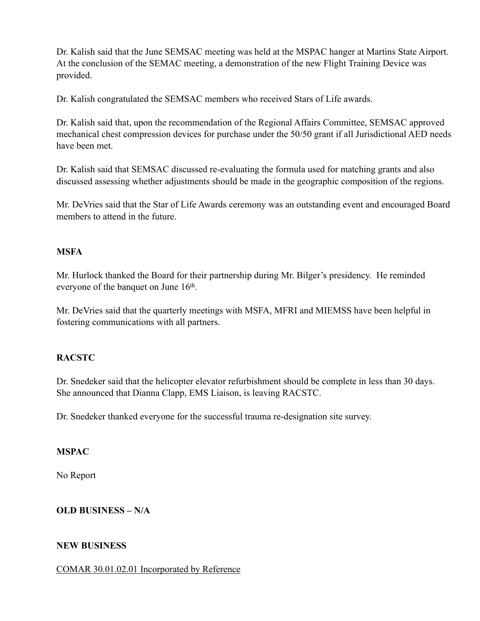Dr. Kalish said that the June SEMSAC meeting was held at the MSPAC hanger at Martins State Airport. At the conclusion of the SEMAC meeting, a demonstration of the new Flight Training Device was provided.

Dr. Kalish congratulated the SEMSAC members who received Stars of Life awards.

Dr. Kalish said that, upon the recommendation of the Regional Affairs Committee, SEMSAC approved mechanical chest compression devices for purchase under the 50/50 grant if all Jurisdictional AED needs have been met.

Dr. Kalish said that SEMSAC discussed re-evaluating the formula used for matching grants and also discussed assessing whether adjustments should be made in the geographic composition of the regions.

Mr. DeVries said that the Star of Life Awards ceremony was an outstanding event and encouraged Board members to attend in the future.

# **MSFA**

Mr. Hurlock thanked the Board for their partnership during Mr. Bilger's presidency. He reminded everyone of the banquet on June 16<sup>th</sup>.

Mr. DeVries said that the quarterly meetings with MSFA, MFRI and MIEMSS have been helpful in fostering communications with all partners.

# **RACSTC**

Dr. Snedeker said that the helicopter elevator refurbishment should be complete in less than 30 days. She announced that Dianna Clapp, EMS Liaison, is leaving RACSTC.

Dr. Snedeker thanked everyone for the successful trauma re-designation site survey.

## **MSPAC**

No Report

# **OLD BUSINESS – N/A**

# **NEW BUSINESS**

## COMAR 30.01.02.01 Incorporated by Reference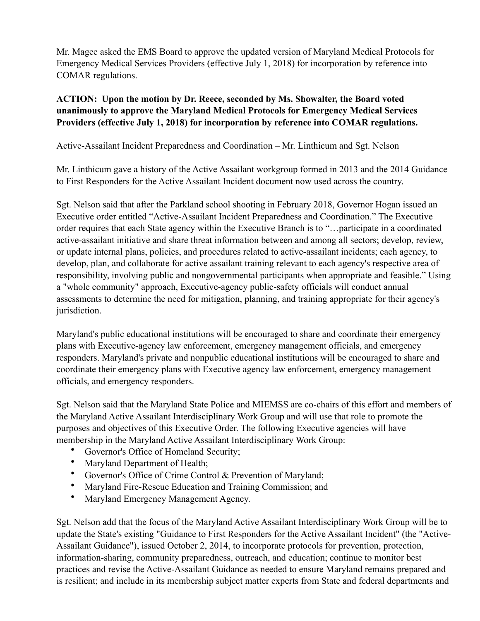Mr. Magee asked the EMS Board to approve the updated version of Maryland Medical Protocols for Emergency Medical Services Providers (effective July 1, 2018) for incorporation by reference into COMAR regulations.

# **ACTION: Upon the motion by Dr. Reece, seconded by Ms. Showalter, the Board voted unanimously to approve the Maryland Medical Protocols for Emergency Medical Services Providers (effective July 1, 2018) for incorporation by reference into COMAR regulations.**

# Active-Assailant Incident Preparedness and Coordination – Mr. Linthicum and Sgt. Nelson

Mr. Linthicum gave a history of the Active Assailant workgroup formed in 2013 and the 2014 Guidance to First Responders for the Active Assailant Incident document now used across the country.

Sgt. Nelson said that after the Parkland school shooting in February 2018, Governor Hogan issued an Executive order entitled "Active-Assailant Incident Preparedness and Coordination." The Executive order requires that each State agency within the Executive Branch is to "…participate in a coordinated active-assailant initiative and share threat information between and among all sectors; develop, review, or update internal plans, policies, and procedures related to active-assailant incidents; each agency, to develop, plan, and collaborate for active assailant training relevant to each agency's respective area of responsibility, involving public and nongovernmental participants when appropriate and feasible." Using a "whole community" approach, Executive-agency public-safety officials will conduct annual assessments to determine the need for mitigation, planning, and training appropriate for their agency's jurisdiction.

Maryland's public educational institutions will be encouraged to share and coordinate their emergency plans with Executive-agency law enforcement, emergency management officials, and emergency responders. Maryland's private and nonpublic educational institutions will be encouraged to share and coordinate their emergency plans with Executive agency law enforcement, emergency management officials, and emergency responders.

Sgt. Nelson said that the Maryland State Police and MIEMSS are co-chairs of this effort and members of the Maryland Active Assailant Interdisciplinary Work Group and will use that role to promote the purposes and objectives of this Executive Order. The following Executive agencies will have membership in the Maryland Active Assailant Interdisciplinary Work Group:

- Governor's Office of Homeland Security;
- Maryland Department of Health;
- Governor's Office of Crime Control & Prevention of Maryland;
- Maryland Fire-Rescue Education and Training Commission; and
- Maryland Emergency Management Agency.

Sgt. Nelson add that the focus of the Maryland Active Assailant Interdisciplinary Work Group will be to update the State's existing "Guidance to First Responders for the Active Assailant Incident" (the "Active-Assailant Guidance"), issued October 2, 2014, to incorporate protocols for prevention, protection, information-sharing, community preparedness, outreach, and education; continue to monitor best practices and revise the Active-Assailant Guidance as needed to ensure Maryland remains prepared and is resilient; and include in its membership subject matter experts from State and federal departments and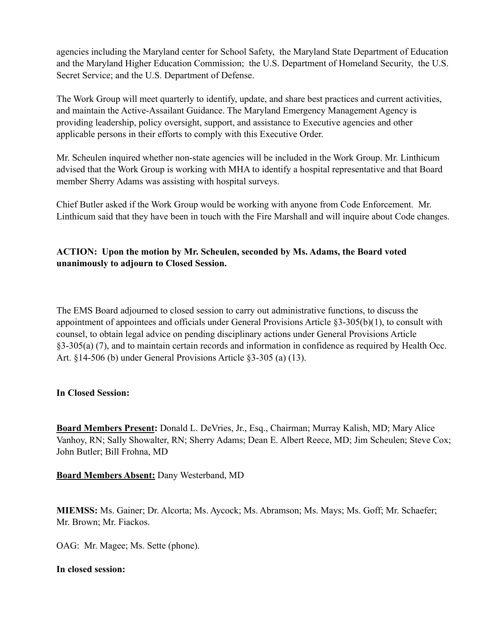agencies including the Maryland center for School Safety, the Maryland State Department of Education and the Maryland Higher Education Commission; the U.S. Department of Homeland Security, the U.S. Secret Service; and the U.S. Department of Defense.

The Work Group will meet quarterly to identify, update, and share best practices and current activities, and maintain the Active-Assailant Guidance. The Maryland Emergency Management Agency is providing leadership, policy oversight, support, and assistance to Executive agencies and other applicable persons in their efforts to comply with this Executive Order.

Mr. Scheulen inquired whether non-state agencies will be included in the Work Group. Mr. Linthicum advised that the Work Group is working with MHA to identify a hospital representative and that Board member Sherry Adams was assisting with hospital surveys.

Chief Butler asked if the Work Group would be working with anyone from Code Enforcement. Mr. Linthicum said that they have been in touch with the Fire Marshall and will inquire about Code changes.

# **ACTION: Upon the motion by Mr. Scheulen, seconded by Ms. Adams, the Board voted unanimously to adjourn to Closed Session.**

The EMS Board adjourned to closed session to carry out administrative functions, to discuss the appointment of appointees and officials under General Provisions Article §3-305(b)(1), to consult with counsel, to obtain legal advice on pending disciplinary actions under General Provisions Article §3-305(a) (7), and to maintain certain records and information in confidence as required by Health Occ. Art. §14-506 (b) under General Provisions Article §3-305 (a) (13).

## **In Closed Session:**

**Board Members Present:** Donald L. DeVries, Jr., Esq., Chairman; Murray Kalish, MD; Mary Alice Vanhoy, RN; Sally Showalter, RN; Sherry Adams; Dean E. Albert Reece, MD; Jim Scheulen; Steve Cox; John Butler; Bill Frohna, MD

**Board Members Absent:** Dany Westerband, MD

**MIEMSS:** Ms. Gainer; Dr. Alcorta; Ms. Aycock; Ms. Abramson; Ms. Mays; Ms. Goff; Mr. Schaefer; Mr. Brown; Mr. Fiackos.

OAG: Mr. Magee; Ms. Sette (phone).

## **In closed session:**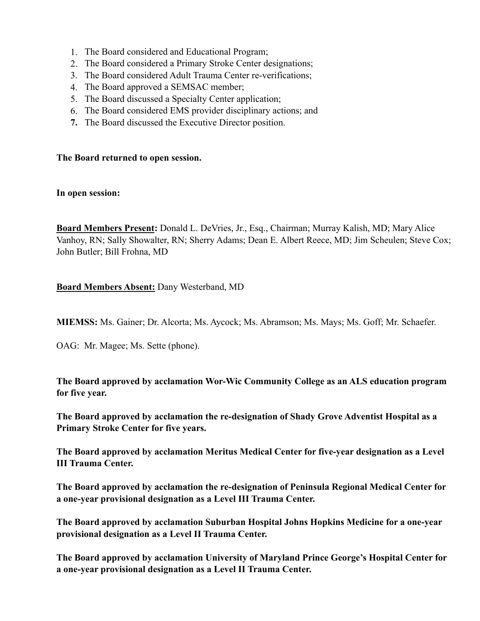- 1. The Board considered and Educational Program;
- 2. The Board considered a Primary Stroke Center designations;
- 3. The Board considered Adult Trauma Center re-verifications;
- 4. The Board approved a SEMSAC member;
- 5. The Board discussed a Specialty Center application;
- 6. The Board considered EMS provider disciplinary actions; and
- **7.** The Board discussed the Executive Director position.

## **The Board returned to open session.**

#### **In open session:**

**Board Members Present:** Donald L. DeVries, Jr., Esq., Chairman; Murray Kalish, MD; Mary Alice Vanhoy, RN; Sally Showalter, RN; Sherry Adams; Dean E. Albert Reece, MD; Jim Scheulen; Steve Cox; John Butler; Bill Frohna, MD

**Board Members Absent:** Dany Westerband, MD

**MIEMSS:** Ms. Gainer; Dr. Alcorta; Ms. Aycock; Ms. Abramson; Ms. Mays; Ms. Goff; Mr. Schaefer.

OAG: Mr. Magee; Ms. Sette (phone).

**The Board approved by acclamation Wor-Wic Community College as an ALS education program for five year.** 

**The Board approved by acclamation the re-designation of Shady Grove Adventist Hospital as a Primary Stroke Center for five years.** 

**The Board approved by acclamation Meritus Medical Center for five-year designation as a Level III Trauma Center.** 

**The Board approved by acclamation the re-designation of Peninsula Regional Medical Center for a one-year provisional designation as a Level III Trauma Center.** 

**The Board approved by acclamation Suburban Hospital Johns Hopkins Medicine for a one-year provisional designation as a Level II Trauma Center.** 

**The Board approved by acclamation University of Maryland Prince George's Hospital Center for a one-year provisional designation as a Level II Trauma Center.**